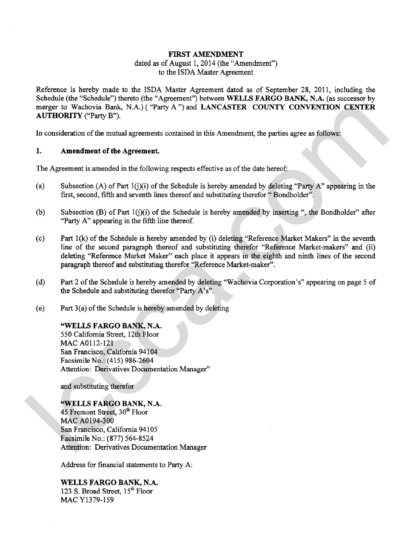#### **FIRST AMENDMENT**

## dated as of August 1, 2014 (the "Amendment") to the ISDA Master Agreement

Reference is hereby made to the ISDA Master Agreement dated as of September 28, 2011, including the Schedule (the "Schedule") thereto (the "Agreement") between **WELLS FARGO BANK, N.A.** (as successor by merger to Wachovia Bank, N.A.) ( **"Party** A ") and **LANCASTER COUNTY CONVENTION CENTER AUTHORITY** ("Party B").

In consideration of the mutual agreements contained in this Amendment, the parties agree as follows:

#### **1. Amendment of the Agreement.**

The Agreement is amended in the following respects effective as of the date hereof:

- Subsection (A) of Part l(j)(i) of the Schedule is hereby amended by deleting **"Party** A" appearing in the first, second, fifth and seventh lines thereof and substituting therefor " Bondholder".
- Subsection (B) of Part  $1(j)(i)$  of the Schedule is hereby amended by inserting ", the Bondholder" after "Party A" appearing in the fifth line thereof.
- Part 1(k) of the Schedule is hereby amended by (i) deleting "Reference Market Makers" in the seventh line of the second paragraph thereof and substituting therefor "Reference Market-makers" and (ii) deleting "Reference Market Maker" each place it appears in the eighth and ninth lines of the second paragraph thereof and substituting therefor "Reference Market-maker". megret to Weakovia Bank, M.A.) ("Parry A") and LANCASTER COUNTY CONVENTION CENTER<br>
1. Consideration of the numal agreement.<br>
1. Amendment of the Agreement.<br>
1. Amendment of the Agreement.<br>
The Agreement is smonded in the f
	- Part **2** of the Schedule is hereby amended by deleting "Wachovia Corporation's" appearing on page 5 of the Schedule and substituting therefor "Party A's".
	- Part 3(a) of the Schedule is hereby amended by deleting

### **"WELLS FARGO BANK, N.A.**

550 California Street, 12th Floor MAC A0112-I21 San Francisco, California 94104 Facsimile No.: (415) 986-2604 Attention: Derivatives Documentation Manager"

and substituting therefor

**"WELLS FARGO BANK, N.A.**  45 Fremont Street, 30<sup>th</sup> Floor MAC A0194-300 San Francisco, California 94105 Facsimile No.: (877) 564-8524 Attention: Derivatives Documentation Manager

Address for financial statements to Party A:

**WELLS FARGO BANK, N.A.**  123 S. Broad Street, 15<sup>th</sup> Floor MAC Y1379-159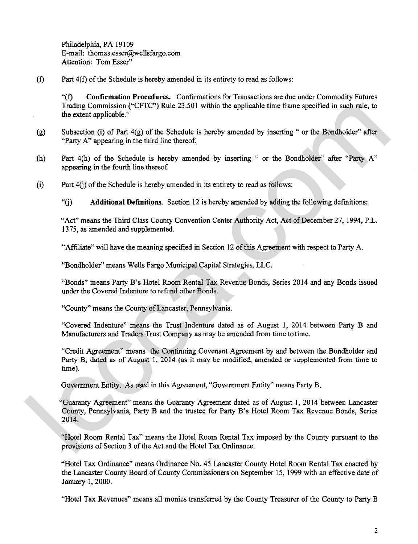Philadelphia, PA 19109 E-mail: thomas.esser@wellsfargo.com Attention: Tom Esser"

 $(f)$ Part 4(f) of the Schedule is hereby amended in its entirety to read **as** follows:

**"(f) Confirmation Procedures.** Confumations for Transactions are due under Commodity Futures Trading Commission ("CFTC") Rule 23.501 within the applicable time frame specified in such rule, to the extent applicable."

- Subsection (i) of Part  $4(g)$  of the Schedule is hereby amended by inserting " or the Bondholder" after "Party A" appearing in the third line thereof.
- Part 4(h) of the Schedule is hereby amended by inserting " or the Bondholder" after "Party A" appearing in the fourth line thereof.
- Part 4(i) of the Schedule is hereby amended in its entirety to read as follows:

"fj) **Additional Definitions.** Section 12 is hereby amended by adding the following definitions:

"Act" means the Third Class County Convention Center Authority Act, Act of December 27, 1994, P.L. 1375, **as** amended and supplemented.

"Affiliate" will have the meaning specified in Section 12 of this Agreement with respect to Party A.

"Bondholder" means Wells Fargo Municipal Capital Strategies, LLC.

"Bonds" means Party B's Hotel Room Rental Tax Revenue Bonds, Series 2014 and any Bonds issued under the Covered Indenture to refund other Bonds.

"County" means the County of Lancaster, Pennsylvania.

"Covered Indenture" means the Trust Indenture dated **as** of August 1, 2014 between Party B and Manufacturers and Traders Trust Company as may be amended from time to time.

"Credit Agreement" means the Continuing Covenant Agreement by and between the Bondholder and **Party** B, dated as of August 1, 2014 (as it may be modified, amended or supplemented from time to time).

Government Entity. As used in this Agreement, "Government Entity" means Party B.

"Guaranty Agreement" means the Guaranty Agreement dated as of August 1, 20 14 between Lancaster County, Pennsylvania, Party B and the trustee for Party B's Hotel Room Tax Revenue Bonds, Series 2014. Trading Commission ("CFTC") Rule 22.501 within the applicable time frame specified in such rule, to<br>
(g) Subsection (t) of Part 4(g) of the Schedule is hereby amended by inserting " or the Bondholder" after<br>
"Party A" app

"Hotel Room Rental Tax" means the Hotel Room Rental Tax imposed by the County pursuant to the provisions of Section **3** of the Act and the Hotel Tax Ordinance.

"Hotel Tax Ordinance" means Ordinance No. 45 Lancaster County Hotel Room Rental Tax enacted by the Laneaster County Board of County Commissioners on September 15, 1999 with an effective date of January 1,2000.

"Hotel Tax Revenues" means all monies transferred by the County Treasurer of the County to Party B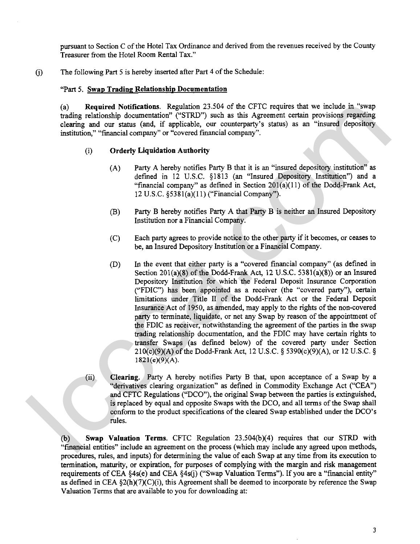pursuant to Section C of the Hotel Tax Ordinance and derived from the revenues received by the County Treasurer from the Hotel Room Rental Tax."

6) The following Part 5 is hereby inserted after Part 4 of the Schedule:

#### "Part 5. Swap Trading Relationship Documentation

(a) **Required Notifications.** Regulation 23.504 of the CFTC requires that we include in "swap trading relationship documentation" ("STRD") such as this Agreement certain provisions regarding clearing and ow status (and, if applicable, ow counterparty's status) **as** an "insured depository institution," "financial company" or "covered financial company".

#### (i) **Orderly Liquidation Authority**

- Party A hereby notifies Party B that it is an "insured depository institution" as defined in 12 U.S.C. \$1813 (an "Insured Depository Institution") and a "financial company" as defined in Section 201(a)(11) of the Dodd-Frank Act, 12 U.S.C. \$5381(a)(11) ("Financial Company").
- Party B hereby notifies Party A that Party B is neither an Insured Depository Institution nor a Financial Company.
- Each party agrees to provide notice to the other party if it becomes, or ceases to be, an Insured Depository Institution or a Financial Company.
- In the event that either party is a "covered financial company" (as defined in Section 201(a)(8) of the Dodd-Frank Act, 12 U.S.C. 5381(a)(8)) or an Insured Depository Institution for which the Federal Deposit Insurance Corporation ("FDIC") has been appointed as a receiver (the "covered party"), certain limitations under Title **II** of the Dodd-Frank Act or the Federal Deposit Insurance Act of 1950, as amended, may apply to the rights of the non-covered party to terminate, liquidate, or net any Swap by reason of the appointment of the FDIC as receiver, notwithstanding the agreement of the parties in the swap trading relationship documentation, and the FDIC may have certain rights to transfer Swaps (as defined below) of the covered party under Section 210(c)(9)(A) of the Dodd-Frank Act, 12 U.S.C. **5** 5390(c)(9)(A), or 12 U.S.C. **5**  182 **1 (e)(9)(A).**  (a) Required Motifications. Regulation 23.549 of the CFU requires that we include in "swapper probable chargest and one stands of a propincipal content of the probable chargest and one stands (and a minimal condensation),
	- (ii) **Clearing.** Party A hereby notifies Party B that, upon acceptance of a Swap by a "derivatives clearing organization" **as** defined in Commodity Exchange Act ("CEA") and CFTC Regulations ("DCO"), the original Swap between the parties is extinguished, is replaced by equal and opposite Swaps with the DCO, and all terms of the Swap shall conform to the product specifications of the cleared Swap established under the DCO's rules.

(b) **Swap Valuation Terms.** CFTC Regulation 23.504(b)(4) requires that our STRD with "financial entities" include an agreement on the process (which may include any agreed upon methods, procedures, rules, and inputs) for determining the value of each Swap at any time from its execution to termination, maturity, or expiration, for purposes of complying with the margin and risk management requirements of CEA §4s(e) and CEA §4s(i) ("Swap Valuation Terms"). If you are a "financial entity" as defined in CEA  $\S2(h)(7)(C)(i)$ , this Agreement shall be deemed to incorporate by reference the Swap Valuation Terms that are available to you for downloading at: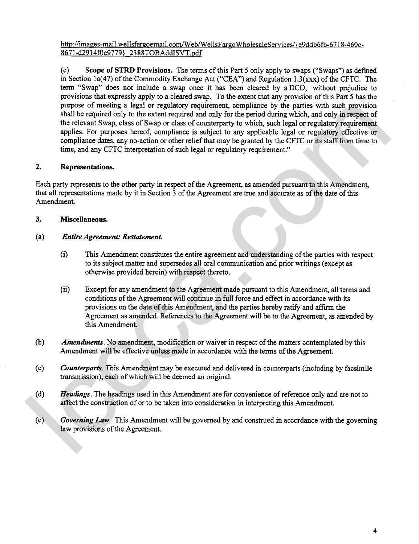http://images-mail.wellsfargoemail.com/Web/WellsFargoWholesaleServices/{e9ddb6fb-6718-460c-8671-d2914f0e9779} 2388TOBAddISVT.pdf

(c) Scope of STRD Provisions. The terms of this Part 5 only apply to swaps ("Swaps") as defined in Section 1a(47) of the Commodity Exchange Act ("CEA") and Regulation 1.3(xxx) of the CFTC. The term "Swap" does not include a swap once it has been cleared by aDCO, without prejudice to provisions that expressly apply to a cleared swap. To the extent that any provision of this **Part** 5 has the purpose of meeting a legal or regulatory requirement, compliance by the parties with such provision shall be required only to the extent required and only for the period during which, and only in respect of the relevant Swap, class of Swap or class of counterparty to which, such legal or regulatory requirement applies. For purposes hereof, compliance is subject to any applicable legal or regulatory effective or compliance dates, any no-action or other relief that may be granted by the CFTC or its staff from time to time, and any CFTC interpretation of such legal or regulatory requirement." purpose of mechanic a legal or regulatory equiversuite, convictione by the period strip, and only in the period in the conviction of the relation of the reduced to the convert supplies and any the specifical complete any

# **2.** Representations.

Each party represents to the other party in respect of the Agreement, as amended pursuant to this Amendment, that all representations made by it in Section 3 of the Agreement are true and accurate as of the date of this Amendment.

## **3.** Miscellaneous.

### (a) *Entire Agreement; Restatement.*

- (i) This Amendment constitutes the entire agreement and understanding of the parties with respect to its subject matter and supersedes all oral communication and prior writings (except as otherwise provided herein) with respect thereto.
- (ii) Except for any amendment to the Agreement made pursuant to this Amendment, all terms and conditions of the Agreement will continue in full force and effect in accordance with its provisions on the date of this Amendment, and the parties hereby ratify and affirm the Agreement as amended. References to the Agreement will be to the Agreement, as amended by this Amendment.
- (b) *Amendments.* No amendment, modification or waiver in respect of the matters contemplated by this Amendment will be effective unless made in accordance with the terms of the Agreement.
- (c) *Counterparts.* This Amendment may be executed and delivered in counterparts (including by facsimile transmission), each of which will be deemed an original.
- (d) *Headings.* The headings used in this Amendment are for convenience of reference only and are not to affect the construction of or to be taken into consideration in interpreting this Amendment
- (e) *Governing Law.* This Amendment will be governed by and construed in accordance with the governing law provisions of the Agreement.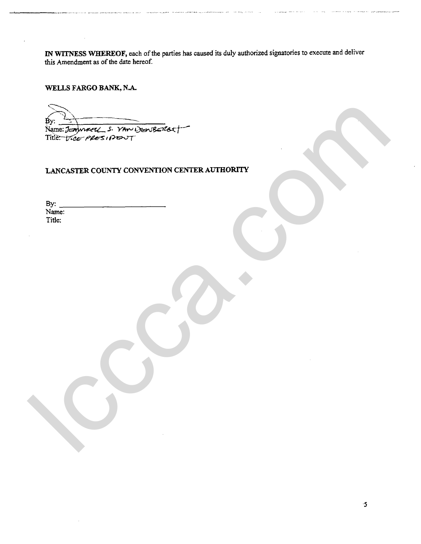**IN WITNESS WHEREOF, each of the parties has caused its duly authorized signatories to execute and deliver this Amendment as of the date hereof.** 

**WELLS FARGO BANK, N.A.** 

lccca.com

## **LANCASTER COUNTY CONVENTION CENTER AUTHORITY**

| By:    |  |
|--------|--|
| Name:  |  |
| Title: |  |